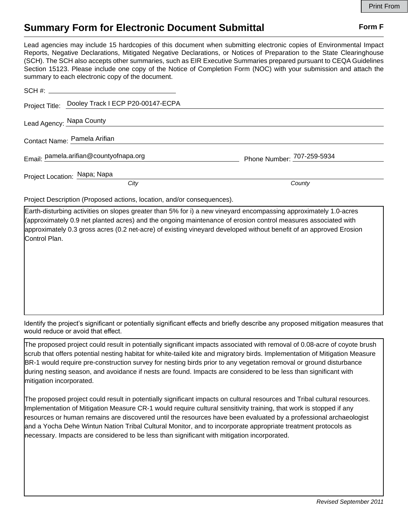## **Summary Form for Electronic Document Submittal Form F Form F**

Lead agencies may include 15 hardcopies of this document when submitting electronic copies of Environmental Impact Reports, Negative Declarations, Mitigated Negative Declarations, or Notices of Preparation to the State Clearinghouse (SCH). The SCH also accepts other summaries, such as EIR Executive Summaries prepared pursuant to CEQA Guidelines Section 15123. Please include one copy of the Notice of Completion Form (NOC) with your submission and attach the summary to each electronic copy of the document.

| Project Title: Dooley Track I ECP P20-00147-ECPA |                            |
|--------------------------------------------------|----------------------------|
| Lead Agency: Napa County                         |                            |
| Contact Name: Pamela Arifian                     |                            |
| Email: pamela.arifian@countyofnapa.org           | Phone Number: 707-259-5934 |
| Project Location: Napa; Napa                     |                            |
| City                                             | County                     |

Project Description (Proposed actions, location, and/or consequences).

Earth-disturbing activities on slopes greater than 5% for i) a new vineyard encompassing approximately 1.0-acres (approximately 0.9 net planted acres) and the ongoing maintenance of erosion control measures associated with approximately 0.3 gross acres (0.2 net-acre) of existing vineyard developed without benefit of an approved Erosion Control Plan.

Identify the project's significant or potentially significant effects and briefly describe any proposed mitigation measures that would reduce or avoid that effect.

The proposed project could result in potentially significant impacts associated with removal of 0.08-acre of coyote brush scrub that offers potential nesting habitat for white-tailed kite and migratory birds. Implementation of Mitigation Measure BR-1 would require pre-construction survey for nesting birds prior to any vegetation removal or ground disturbance during nesting season, and avoidance if nests are found. Impacts are considered to be less than significant with mitigation incorporated.

The proposed project could result in potentially significant impacts on cultural resources and Tribal cultural resources. Implementation of Mitigation Measure CR-1 would require cultural sensitivity training, that work is stopped if any resources or human remains are discovered until the resources have been evaluated by a professional archaeologist and a Yocha Dehe Wintun Nation Tribal Cultural Monitor, and to incorporate appropriate treatment protocols as necessary. Impacts are considered to be less than significant with mitigation incorporated.